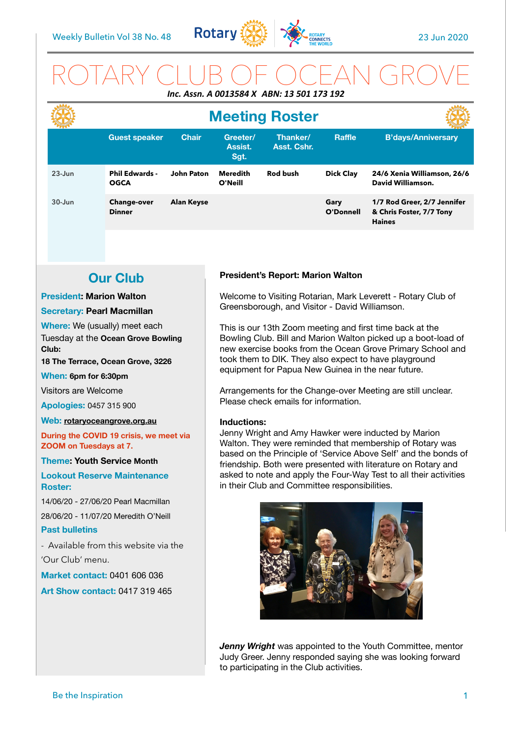

# ROTARY CLUB OF OCEAN GROVE *Inc. Assn. A 0013584 X ABN: 13 501 173 192*

|            | <b>Meeting Roster</b>                |                   |                             |                         |                   |                                                                          |
|------------|--------------------------------------|-------------------|-----------------------------|-------------------------|-------------------|--------------------------------------------------------------------------|
|            | <b>Guest speaker</b>                 | <b>Chair</b>      | Greeter/<br>Assist.<br>Sgt. | Thanker/<br>Asst. Cshr. | <b>Raffle</b>     | <b>B'days/Anniversary</b>                                                |
| $23 - Jun$ | <b>Phil Edwards -</b><br><b>OGCA</b> | <b>John Paton</b> | Meredith<br>O'Neill         | <b>Rod bush</b>         | <b>Dick Clay</b>  | 24/6 Xenia Williamson, 26/6<br>David Williamson.                         |
| $30 - Jun$ | <b>Change-over</b><br><b>Dinner</b>  | <b>Alan Keyse</b> |                             |                         | Gary<br>O'Donnell | 1/7 Rod Greer, 2/7 Jennifer<br>& Chris Foster, 7/7 Tony<br><b>Haines</b> |

# **Our Club**

### **President: Marion Walton**

### **Secretary: Pearl Macmillan**

**Where:** We (usually) meet each Tuesday at the **Ocean Grove Bowling Club:** 

**18 The Terrace, Ocean Grove, 3226** 

#### **When: 6pm for 6:30pm**

Visitors are Welcome

**Apologies:** 0457 315 900

#### **Web: [rotaryoceangrove.org.au](http://rotaryoceangrove.org.au)**

**During the COVID 19 crisis, we meet via ZOOM on Tuesdays at 7.**

**Theme: Youth Service Month** 

**Lookout Reserve Maintenance Roster:** 

14/06/20 - 27/06/20 Pearl Macmillan

28/06/20 - 11/07/20 Meredith O'Neill

### **Past bulletins**

- Available from this website via the 'Our Club' menu.

**Market contact:** 0401 606 036

**Art Show contact:** 0417 319 465

### **President's Report: Marion Walton**

Welcome to Visiting Rotarian, Mark Leverett - Rotary Club of Greensborough, and Visitor - David Williamson.

This is our 13th Zoom meeting and first time back at the Bowling Club. Bill and Marion Walton picked up a boot-load of new exercise books from the Ocean Grove Primary School and took them to DIK. They also expect to have playground equipment for Papua New Guinea in the near future.

Arrangements for the Change-over Meeting are still unclear. Please check emails for information.

#### **Inductions:**

Jenny Wright and Amy Hawker were inducted by Marion Walton. They were reminded that membership of Rotary was based on the Principle of 'Service Above Self' and the bonds of friendship. Both were presented with literature on Rotary and asked to note and apply the Four-Way Test to all their activities in their Club and Committee responsibilities.



*Jenny Wright* was appointed to the Youth Committee, mentor Judy Greer. Jenny responded saying she was looking forward to participating in the Club activities.